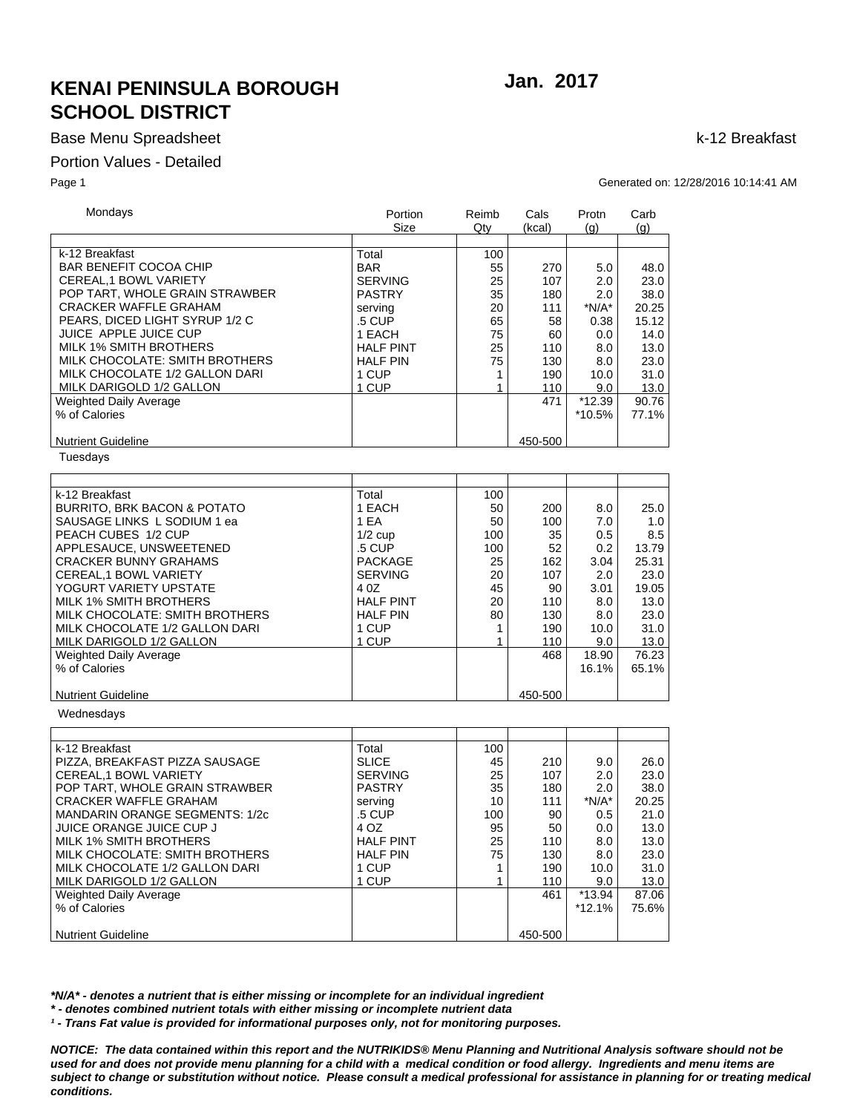# **KENAI PENINSULA BOROUGH SCHOOL DISTRICT**

### **Base Menu Spreadsheet**

### Portion Values - Detailed

Page 1

Jan. 2017

k-12 Breakfast

Generated on: 12/28/2016 10:14:41 AM

| Mondays                                | Portion          | Reimb        | Cals    | Protn    | Carb           |
|----------------------------------------|------------------|--------------|---------|----------|----------------|
|                                        | Size             | Qty          | (kcal)  | (q)      | $\mathsf{(q)}$ |
|                                        |                  |              |         |          |                |
| k-12 Breakfast                         | Total            | 100          |         |          |                |
| <b>BAR BENEFIT COCOA CHIP</b>          | <b>BAR</b>       | 55           | 270     | 5.0      | 48.0           |
| CEREAL, 1 BOWL VARIETY                 | <b>SERVING</b>   | 25           | 107     | 2.0      | 23.0           |
| POP TART, WHOLE GRAIN STRAWBER         | <b>PASTRY</b>    | 35           | 180     | 2.0      | 38.0           |
| <b>CRACKER WAFFLE GRAHAM</b>           |                  |              |         |          |                |
|                                        | serving          | 20           | 111     | $*N/A*$  | 20.25          |
| PEARS, DICED LIGHT SYRUP 1/2 C         | .5 CUP           | 65           | 58      | 0.38     | 15.12          |
| JUICE APPLE JUICE CUP                  | 1 EACH           | 75           | 60      | 0.0      | 14.0           |
| <b>MILK 1% SMITH BROTHERS</b>          | <b>HALF PINT</b> | 25           | 110     | 8.0      | 13.0           |
| MILK CHOCOLATE: SMITH BROTHERS         | <b>HALF PIN</b>  | 75           | 130     | 8.0      | 23.0           |
| MILK CHOCOLATE 1/2 GALLON DARI         | 1 CUP            | 1            | 190     | 10.0     | 31.0           |
| MILK DARIGOLD 1/2 GALLON               | 1 CUP            | $\mathbf{1}$ | 110     | 9.0      | 13.0           |
| Weighted Daily Average                 |                  |              | 471     | $*12.39$ | 90.76          |
| % of Calories                          |                  |              |         | *10.5%   | 77.1%          |
|                                        |                  |              |         |          |                |
| <b>Nutrient Guideline</b>              |                  |              | 450-500 |          |                |
| Tuesdays                               |                  |              |         |          |                |
|                                        |                  |              |         |          |                |
|                                        |                  |              |         |          |                |
| k-12 Breakfast                         | Total            | 100          |         |          |                |
| <b>BURRITO, BRK BACON &amp; POTATO</b> | 1 EACH           | 50           | 200     | 8.0      | 25.0           |
| SAUSAGE LINKS L SODIUM 1 ea            | 1 EA             | 50           | 100     | 7.0      | 1.0            |
| PEACH CUBES 1/2 CUP                    | $1/2$ cup        | 100          | 35      | 0.5      | 8.5            |
| APPLESAUCE, UNSWEETENED                | .5 CUP           | 100          | 52      | 0.2      | 13.79          |
| <b>CRACKER BUNNY GRAHAMS</b>           | <b>PACKAGE</b>   | 25           | 162     | 3.04     | 25.31          |
|                                        |                  |              |         |          |                |
| CEREAL, 1 BOWL VARIETY                 | <b>SERVING</b>   | 20           | 107     | 2.0      | 23.0           |
| YOGURT VARIETY UPSTATE                 | 4 0 Z            | 45           | 90      | 3.01     | 19.05          |
| <b>MILK 1% SMITH BROTHERS</b>          | <b>HALF PINT</b> | 20           | 110     | 8.0      | 13.0           |
| MILK CHOCOLATE: SMITH BROTHERS         | <b>HALF PIN</b>  | 80           | 130     | 8.0      | 23.0           |
| MILK CHOCOLATE 1/2 GALLON DARI         | 1 CUP            | 1            | 190     | 10.0     | 31.0           |
| MILK DARIGOLD 1/2 GALLON               | 1 CUP            | $\mathbf{1}$ | 110     | 9.0      | 13.0           |
| Weighted Daily Average                 |                  |              | 468     | 18.90    | 76.23          |
| % of Calories                          |                  |              |         | 16.1%    | 65.1%          |
|                                        |                  |              |         |          |                |
| <b>Nutrient Guideline</b>              |                  |              | 450-500 |          |                |
| Wednesdays                             |                  |              |         |          |                |
|                                        |                  |              |         |          |                |
| k-12 Breakfast                         | Total            | 100          |         |          |                |
| PIZZA, BREAKFAST PIZZA SAUSAGE         | <b>SLICE</b>     | 45           | 210     | 9.0      | 26.0           |
|                                        |                  |              |         |          |                |
| CEREAL,1 BOWL VARIETY                  | <b>SERVING</b>   | 25           | 107     | 2.0      | 23.0           |
| POP TART, WHOLE GRAIN STRAWBER         | <b>PASTRY</b>    | 35           | 180     | 2.0      | 38.0           |
| <b>CRACKER WAFFLE GRAHAM</b>           | serving          | 10           | 111     | $*N/A*$  | 20.25          |
| <b>MANDARIN ORANGE SEGMENTS: 1/2c</b>  | .5 CUP           | 100          | 90      | 0.5      | 21.0           |
| JUICE ORANGE JUICE CUP J               | 4 OZ             | 95           | 50      | 0.0      | 13.0           |
| <b>MILK 1% SMITH BROTHERS</b>          | <b>HALF PINT</b> | 25           | 110     | 8.0      | 13.0           |
| MILK CHOCOLATE: SMITH BROTHERS         | <b>HALF PIN</b>  | 75           | 130     | 8.0      | 23.0           |
| MILK CHOCOLATE 1/2 GALLON DARI         | 1 CUP            | $\mathbf{1}$ | 190     | 10.0     | 31.0           |
| MILK DARIGOLD 1/2 GALLON               | 1 CUP            | $\mathbf{1}$ | 110     | 9.0      | 13.0           |
| Weighted Daily Average                 |                  |              | 461     | *13.94   | 87.06          |
| % of Calories                          |                  |              |         | $*12.1%$ | 75.6%          |
|                                        |                  |              |         |          |                |
| <b>Nutrient Guideline</b>              |                  |              | 450-500 |          |                |
|                                        |                  |              |         |          |                |

\*N/A\* - denotes a nutrient that is either missing or incomplete for an individual ingredient

\*- denotes combined nutrient totals with either missing or incomplete nutrient data

<sup>1</sup> - Trans Fat value is provided for informational purposes only, not for monitoring purposes.

NOTICE: The data contained within this report and the NUTRIKIDS® Menu Planning and Nutritional Analysis software should not be used for and does not provide menu planning for a child with a medical condition or food allergy. Ingredients and menu items are subject to change or substitution without notice. Please consult a medical professional for assistance in planning for or treating medical conditions.